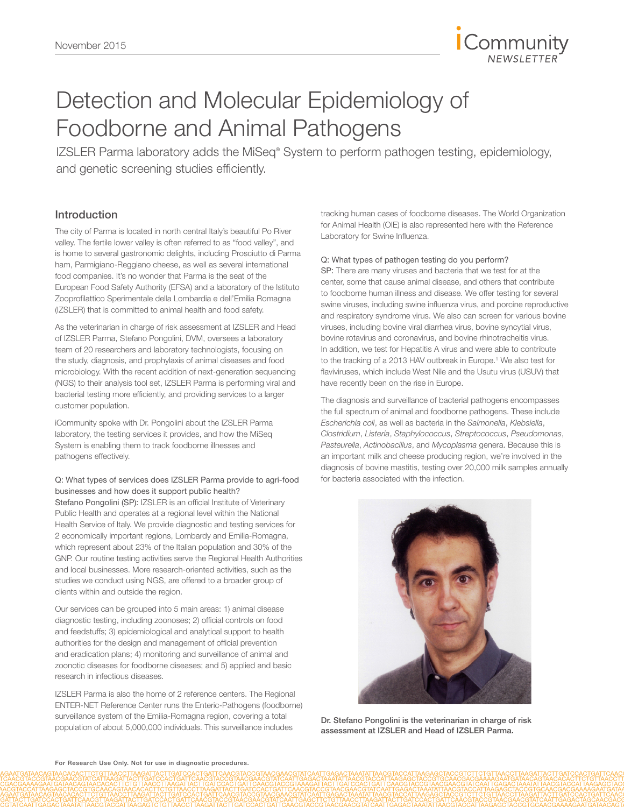

# Detection and Molecular Epidemiology of Foodborne and Animal Pathogens

IZSLER Parma laboratory adds the MiSeq® System to perform pathogen testing, epidemiology, and genetic screening studies efficiently.

# Introduction

The city of Parma is located in north central Italy's beautiful Po River valley. The fertile lower valley is often referred to as "food valley", and is home to several gastronomic delights, including Prosciutto di Parma ham, Parmigiano-Reggiano cheese, as well as several international food companies. It's no wonder that Parma is the seat of the European Food Safety Authority (EFSA) and a laboratory of the Istituto Zooprofilattico Sperimentale della Lombardia e dell'Emilia Romagna (IZSLER) that is committed to animal health and food safety.

As the veterinarian in charge of risk assessment at IZSLER and Head of IZSLER Parma, Stefano Pongolini, DVM, oversees a laboratory team of 20 researchers and laboratory technologists, focusing on the study, diagnosis, and prophylaxis of animal diseases and food microbiology. With the recent addition of next-generation sequencing (NGS) to their analysis tool set, IZSLER Parma is performing viral and bacterial testing more efficiently, and providing services to a larger customer population.

iCommunity spoke with Dr. Pongolini about the IZSLER Parma laboratory, the testing services it provides, and how the MiSeq System is enabling them to track foodborne illnesses and pathogens effectively.

# Q: What types of services does IZSLER Parma provide to agri-food businesses and how does it support public health?

Stefano Pongolini (SP): IZSLER is an official Institute of Veterinary Public Health and operates at a regional level within the National Health Service of Italy. We provide diagnostic and testing services for 2 economically important regions, Lombardy and Emilia-Romagna, which represent about 23% of the Italian population and 30% of the GNP. Our routine testing activities serve the Regional Health Authorities and local businesses. More research-oriented activities, such as the studies we conduct using NGS, are offered to a broader group of clients within and outside the region.

Our services can be grouped into 5 main areas: 1) animal disease diagnostic testing, including zoonoses; 2) official controls on food and feedstuffs; 3) epidemiological and analytical support to health authorities for the design and management of official prevention and eradication plans; 4) monitoring and surveillance of animal and zoonotic diseases for foodborne diseases; and 5) applied and basic research in infectious diseases.

IZSLER Parma is also the home of 2 reference centers. The Regional ENTER-NET Reference Center runs the Enteric-Pathogens (foodborne) surveillance system of the Emilia-Romagna region, covering a total population of about 5,000,000 individuals. This surveillance includes

tracking human cases of foodborne diseases. The World Organization for Animal Health (OIE) is also represented here with the Reference Laboratory for Swine Influenza.

#### Q: What types of pathogen testing do you perform?

SP: There are many viruses and bacteria that we test for at the center, some that cause animal disease, and others that contribute to foodborne human illness and disease. We offer testing for several swine viruses, including swine influenza virus, and porcine reproductive and respiratory syndrome virus. We also can screen for various bovine viruses, including bovine viral diarrhea virus, bovine syncytial virus, bovine rotavirus and coronavirus, and bovine rhinotracheitis virus. In addition, we test for Hepatitis A virus and were able to contribute to the tracking of a 2013 HAV outbreak in Europe.<sup>1</sup> We also test for flaviviruses, which include West Nile and the Usutu virus (USUV) that have recently been on the rise in Europe.

The diagnosis and surveillance of bacterial pathogens encompasses the full spectrum of animal and foodborne pathogens. These include *Escherichia coli*, as well as bacteria in the *Salmonella*, *Klebsiella*, *Clostridium*, *Listeria*, *Staphylococcus*, *Streptococcus*, *Pseudomonas*, *Pasteurella*, *Actinobacillus*, and *Mycoplasma* genera. Because this is an important milk and cheese producing region, we're involved in the diagnosis of bovine mastitis, testing over 20,000 milk samples annually for bacteria associated with the infection.



Dr. Stefano Pongolini is the veterinarian in charge of risk assessment at IZSLER and Head of IZSLER Parma.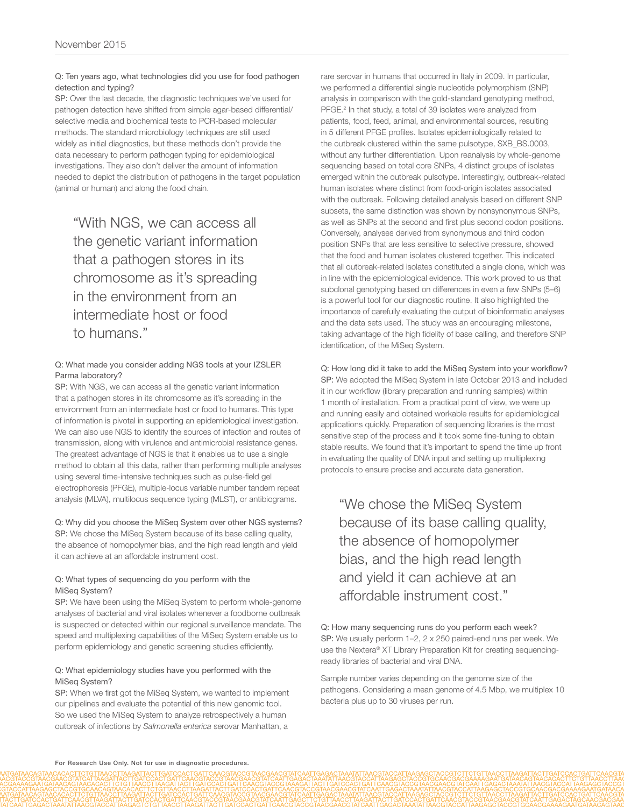#### Q: Ten years ago, what technologies did you use for food pathogen detection and typing?

SP: Over the last decade, the diagnostic techniques we've used for pathogen detection have shifted from simple agar-based differential/ selective media and biochemical tests to PCR-based molecular methods. The standard microbiology techniques are still used widely as initial diagnostics, but these methods don't provide the data necessary to perform pathogen typing for epidemiological investigations. They also don't deliver the amount of information needed to depict the distribution of pathogens in the target population (animal or human) and along the food chain.

"With NGS, we can access all the genetic variant information that a pathogen stores in its chromosome as it's spreading in the environment from an intermediate host or food to humans."

## Q: What made you consider adding NGS tools at your IZSLER Parma laboratory?

SP: With NGS, we can access all the genetic variant information that a pathogen stores in its chromosome as it's spreading in the environment from an intermediate host or food to humans. This type of information is pivotal in supporting an epidemiological investigation. We can also use NGS to identify the sources of infection and routes of transmission, along with virulence and antimicrobial resistance genes. The greatest advantage of NGS is that it enables us to use a single method to obtain all this data, rather than performing multiple analyses using several time-intensive techniques such as pulse-field gel electrophoresis (PFGE), multiple-locus variable number tandem repeat analysis (MLVA), multilocus sequence typing (MLST), or antibiograms.

Q: Why did you choose the MiSeq System over other NGS systems? SP: We chose the MiSeq System because of its base calling quality, the absence of homopolymer bias, and the high read length and yield it can achieve at an affordable instrument cost.

## Q: What types of sequencing do you perform with the MiSeq System?

SP: We have been using the MiSeq System to perform whole-genome analyses of bacterial and viral isolates whenever a foodborne outbreak is suspected or detected within our regional surveillance mandate. The speed and multiplexing capabilities of the MiSeq System enable us to perform epidemiology and genetic screening studies efficiently.

#### Q: What epidemiology studies have you performed with the MiSeq System?

SP: When we first got the MiSeq System, we wanted to implement our pipelines and evaluate the potential of this new genomic tool. So we used the MiSeq System to analyze retrospectively a human outbreak of infections by *Salmonella enterica* serovar Manhattan, a

rare serovar in humans that occurred in Italy in 2009. In particular, we performed a differential single nucleotide polymorphism (SNP) analysis in comparison with the gold-standard genotyping method, PFGE.<sup>2</sup> In that study, a total of 39 isolates were analyzed from patients, food, feed, animal, and environmental sources, resulting in 5 different PFGE profiles. Isolates epidemiologically related to the outbreak clustered within the same pulsotype, SXB\_BS.0003, without any further differentiation. Upon reanalysis by whole-genome sequencing based on total core SNPs, 4 distinct groups of isolates emerged within the outbreak pulsotype. Interestingly, outbreak-related human isolates where distinct from food-origin isolates associated with the outbreak. Following detailed analysis based on different SNP subsets, the same distinction was shown by nonsynonymous SNPs, as well as SNPs at the second and first plus second codon positions. Conversely, analyses derived from synonymous and third codon position SNPs that are less sensitive to selective pressure, showed that the food and human isolates clustered together. This indicated that all outbreak-related isolates constituted a single clone, which was in line with the epidemiological evidence. This work proved to us that subclonal genotyping based on differences in even a few SNPs (5–6) is a powerful tool for our diagnostic routine. It also highlighted the importance of carefully evaluating the output of bioinformatic analyses and the data sets used. The study was an encouraging milestone, taking advantage of the high fidelity of base calling, and therefore SNP identification, of the MiSeq System.

Q: How long did it take to add the MiSeq System into your workflow? SP: We adopted the MiSeq System in late October 2013 and included it in our workflow (library preparation and running samples) within 1 month of installation. From a practical point of view, we were up and running easily and obtained workable results for epidemiological applications quickly. Preparation of sequencing libraries is the most sensitive step of the process and it took some fine-tuning to obtain stable results. We found that it's important to spend the time up front in evaluating the quality of DNA input and setting up multiplexing protocols to ensure precise and accurate data generation.

"We chose the MiSeq System because of its base calling quality, the absence of homopolymer bias, and the high read length and yield it can achieve at an affordable instrument cost."

Q: How many sequencing runs do you perform each week? SP: We usually perform 1–2, 2 x 250 paired-end runs per week. We use the Nextera® XT Library Preparation Kit for creating sequencingready libraries of bacterial and viral DNA.

Sample number varies depending on the genome size of the pathogens. Considering a mean genome of 4.5 Mbp, we multiplex 10 bacteria plus up to 30 viruses per run.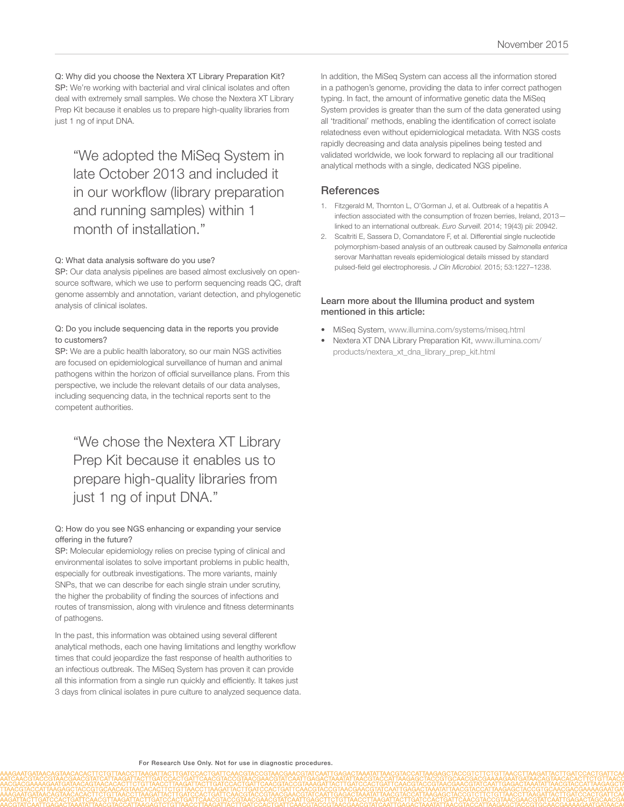Q: Why did you choose the Nextera XT Library Preparation Kit? SP: We're working with bacterial and viral clinical isolates and often deal with extremely small samples. We chose the Nextera XT Library Prep Kit because it enables us to prepare high-quality libraries from just 1 ng of input DNA.

"We adopted the MiSeq System in late October 2013 and included it in our workflow (library preparation and running samples) within 1 month of installation."

#### Q: What data analysis software do you use?

SP: Our data analysis pipelines are based almost exclusively on opensource software, which we use to perform sequencing reads QC, draft genome assembly and annotation, variant detection, and phylogenetic analysis of clinical isolates.

#### Q: Do you include sequencing data in the reports you provide to customers?

SP: We are a public health laboratory, so our main NGS activities are focused on epidemiological surveillance of human and animal pathogens within the horizon of official surveillance plans. From this perspective, we include the relevant details of our data analyses, including sequencing data, in the technical reports sent to the competent authorities.

"We chose the Nextera XT Library Prep Kit because it enables us to prepare high-quality libraries from just 1 ng of input DNA."

#### Q: How do you see NGS enhancing or expanding your service offering in the future?

SP: Molecular epidemiology relies on precise typing of clinical and environmental isolates to solve important problems in public health, especially for outbreak investigations. The more variants, mainly SNPs, that we can describe for each single strain under scrutiny, the higher the probability of finding the sources of infections and routes of transmission, along with virulence and fitness determinants of pathogens.

In the past, this information was obtained using several different analytical methods, each one having limitations and lengthy workflow times that could jeopardize the fast response of health authorities to an infectious outbreak. The MiSeq System has proven it can provide all this information from a single run quickly and efficiently. It takes just 3 days from clinical isolates in pure culture to analyzed sequence data. In addition, the MiSeq System can access all the information stored in a pathogen's genome, providing the data to infer correct pathogen typing. In fact, the amount of informative genetic data the MiSeq System provides is greater than the sum of the data generated using all 'traditional' methods, enabling the identification of correct isolate relatedness even without epidemiological metadata. With NGS costs rapidly decreasing and data analysis pipelines being tested and validated worldwide, we look forward to replacing all our traditional analytical methods with a single, dedicated NGS pipeline.

# **References**

- 1. [Fitzgerald M, Thornton L, O'Gorman J, et al. Outbreak of a hepatitis A](http://www.ncbi.nlm.nih.gov/pubmed/25375902)  [infection associated with the consumption of frozen berries, Ireland, 2013](http://www.ncbi.nlm.nih.gov/pubmed/25375902) [linked to an international outbreak.](http://www.ncbi.nlm.nih.gov/pubmed/25375902) *Euro Surveill.* 2014; 19(43) pii: 20942.
- 2. [Scaltriti E, Sassera D, Comandatore F, et al. Differential single nucleotide](http://www.ncbi.nlm.nih.gov/pubmed/25653407)  [polymorphism-based analysis of an outbreak caused by](http://www.ncbi.nlm.nih.gov/pubmed/25653407) *Salmonella enterica*  [serovar Manhattan reveals epidemiological details missed by standard](http://www.ncbi.nlm.nih.gov/pubmed/25653407)  [pulsed-field gel electrophoresis.](http://www.ncbi.nlm.nih.gov/pubmed/25653407) *J Clin Microbiol.* 2015; 53:1227–1238.

#### Learn more about the Illumina product and system mentioned in this article:

- [MiSeq System, www.illumina.com/systems/miseq.html](http://www.illumina.com/systems/miseq.html)
- [Nextera XT DNA Library Preparation Kit, www.illumina.com/](http://www.illumina.com/products/nextera_xt_dna_library_prep_kit.html) [products/nextera\\_xt\\_dna\\_library\\_prep\\_kit.html](http://www.illumina.com/products/nextera_xt_dna_library_prep_kit.html)